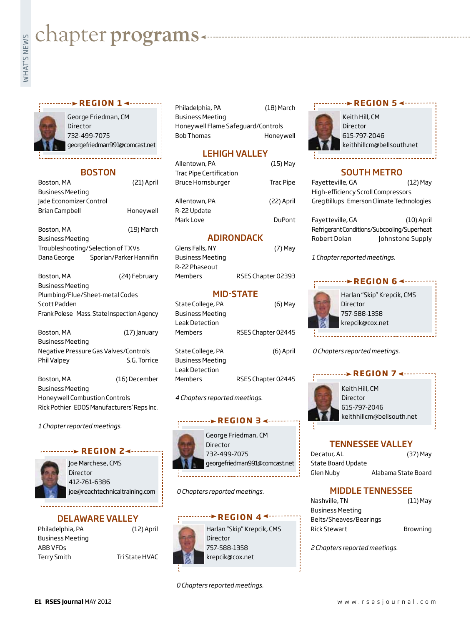# **whater programs**<br>Example:<br>Fig. 1

# *REGION 1* ◀  $\cdots$



George Friedman, CM Director 732-499-7075 georgefriedman991@comcast.net

# BOSTON

| Boston, MA                                 | (21) April              |  |
|--------------------------------------------|-------------------------|--|
| <b>Business Meeting</b>                    |                         |  |
| Jade Economizer Control                    |                         |  |
| Brian Campbell                             | Honeywell               |  |
| Boston, MA                                 | (19) March              |  |
| <b>Business Meeting</b>                    |                         |  |
| Troubleshooting/Selection of TXVs          |                         |  |
| Dana George                                | Sporlan/Parker Hannifin |  |
| Boston, MA                                 | (24) February           |  |
| <b>Business Meeting</b>                    |                         |  |
| Plumbing/Flue/Sheet-metal Codes            |                         |  |
| Scott Padden                               |                         |  |
| Frank Polese Mass. State Inspection Agency |                         |  |
| Boston, MA                                 | (17) January            |  |
| <b>Business Meeting</b>                    |                         |  |
| Negative Pressure Gas Valves/Controls      |                         |  |
| Phil Valpey                                | S.G. Torrice            |  |

Boston, MA (16) December Business Meeting Honeywell Combustion Controls Rick Pothier EDOS Manufacturers' Reps Inc.

*1 Chapter reported meetings.*

# **REGION 24-**



Joe Marchese, CMS Director 412-761-6386 joe@reachtechnicaltraining.com

# DELAWARE VALLEY

|                | $(12)$ April |
|----------------|--------------|
|                |              |
|                |              |
| Tri State HVAC |              |
|                |              |

Philadelphia, PA (18) March Business Meeting Honeywell Flame Safeguard/Controls Bob Thomas Honeywell

# LEHIGH VALLEY

| Allentown, PA                                | (15) May      |
|----------------------------------------------|---------------|
| Trac Pipe Certification<br>Bruce Hornsburger | Trac Pipe     |
| Allentown, PA                                | (22) April    |
| R-22 Update<br>Mark Love                     | <b>DuPont</b> |

# ADIRONDACK

| (7) May            |
|--------------------|
|                    |
|                    |
| RSES Chapter 02393 |
|                    |

# MID-STATE

| State College, PA       | (6) May            |
|-------------------------|--------------------|
| <b>Business Meeting</b> |                    |
| Leak Detection          |                    |
| Members                 | RSES Chapter 02445 |
|                         |                    |
| State College, PA       | (6) April          |
| Business Meeting        |                    |
| Leak Detection          |                    |
| Members                 | RSES Chapter 02445 |
|                         |                    |

*4 Chapters reported meetings.*

# **REGION 3 <---**



George Friedman, CM georgefriedman991@comcast.net

*0 Chapters reported meetings.*

# **REGION 44 -----**



Harlan "Skip" Krepcik, CMS Director 757-588-1358 krepcik@cox.net

# *0 Chapters reported meetings.*

# **r e g i o n 5**



Keith Hill, CM Director 615-797-2046 keithhillcm@bellsouth.net

# SOUTH METRO

Fayetteville, GA (12) May High-efficiency Scroll Compressors Greg Billups Emerson Climate Technologies

Fayetteville, GA (10) April Refrigerant Conditions/Subcooling/Superheat Robert Dolan Johnstone Supply

*1 Chapter reported meetings.*

# Harlan "Skip" Krepcik, CMS Director 757-588-1358 krepcik@cox.net **REGION 64 ------**

*0 Chapters reported meetings.*



# TENNESSEE VALLEY

| Decatur, AL        | (37) May            |
|--------------------|---------------------|
| State Board Update |                     |
| Glen Nuby          | Alabama State Board |

# MIDDLE TENNESSEE

| Nashville, TN          | $(11)$ May |
|------------------------|------------|
| Business Meeting       |            |
| Belts/Sheaves/Bearings |            |
| Rick Stewart           | Browning   |

*2 Chapters reported meetings.*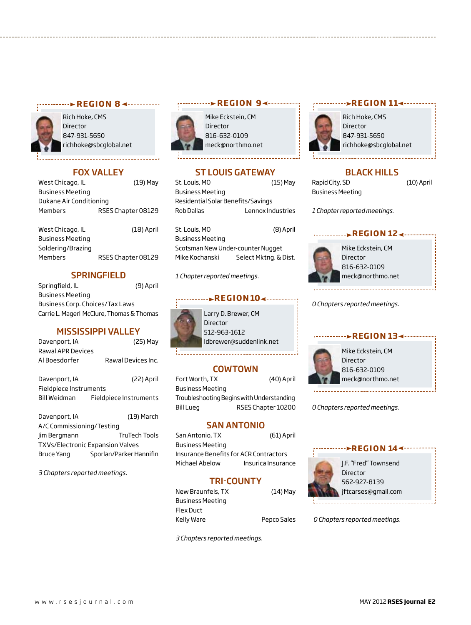### **REGION 8 <-----------**



Rich Hoke, CMS Director 847-931-5650 richhoke@sbcglobal.net

# Fox Valley

| West Chicago, IL        | (19) May           |
|-------------------------|--------------------|
| <b>Business Meeting</b> |                    |
| Dukane Air Conditioning |                    |
| Members                 | RSES Chapter 08129 |
|                         |                    |
| West Chicago, IL        | $(18)$ April       |
| <b>Business Meeting</b> |                    |
| Soldering/Brazing       |                    |
| <b>Members</b>          | RSES Chapter 08129 |
|                         |                    |

# **SPRINGFIELD**

Springfield, IL (9) April Business Meeting Business Corp. Choices/Tax Laws Carrie L. Magerl McClure, Thomas & Thomas

# MISSISSIPPI VALLEY

| Davenport, IA     | (25) May           |
|-------------------|--------------------|
| Rawal APR Devices |                    |
| Al Boesdorfer     | Rawal Devices Inc. |

| Davenport, IA          | (22) April             |
|------------------------|------------------------|
| Fieldpiece Instruments |                        |
| Bill Weidman           | Fieldpiece Instruments |

| Davenport, IA                    | $(19)$ March            |  |
|----------------------------------|-------------------------|--|
| A/C Commissioning/Testing        |                         |  |
| lim Bergmann                     | <b>TruTech Tools</b>    |  |
| TXVs/Electronic Expansion Valves |                         |  |
| Bruce Yang                       | Sporlan/Parker Hannifin |  |
|                                  |                         |  |

*3 Chapters reported meetings.*

# **REGION 94 ---------**

Mike Eckstein, CM Director 816-632-0109 meck@northmo.net

# ST LOUIS GATEWAY

| St. Louis, MO                      | $(15)$ May        |
|------------------------------------|-------------------|
| Business Meeting                   |                   |
| Residential Solar Benefits/Savings |                   |
| Rob Dallas                         | Lennox Industries |
|                                    |                   |

St. Louis, MO (8) April Business Meeting Scotsman New Under-counter Nugget Mike Kochanski Select Mktng. & Dist.

*1 Chapter reported meetings.*

# *<u>REGION104.</u>*

| Larry D. Brewer, CM     |
|-------------------------|
| Director                |
| 512-963-1612            |
| Idbrewer@suddenlink.net |
|                         |

# COWTOWN

Fort Worth, TX (40) April Business Meeting Troubleshooting Begins with Understanding Bill Lueg RSES Chapter 10200

# SAN ANTONIO

San Antonio, TX (61) April Business Meeting Insurance Benefits for ACR Contractors Michael Abelow Insurica Insurance

# TRI-COUNTY

| New Braunfels, TX | $(14)$ May  |
|-------------------|-------------|
| Business Meeting  |             |
| Flex Duct         |             |
| Kelly Ware        | Pepco Sales |
|                   |             |

*3 Chapters reported meetings.*



# *r***EGION 114**



# BLACK HILLS

Rapid City, SD (10) April Business Meeting

*1 Chapter reported meetings.*

# *<u>REGION 12</u>*



Mike Eckstein, CM Director 816-632-0109 meck@northmo.net

*0 Chapters reported meetings.*

# **region 13**



Mike Eckstein, CM Director 816-632-0109 meck@northmo.net

*0 Chapters reported meetings.*



*0 Chapters reported meetings.*